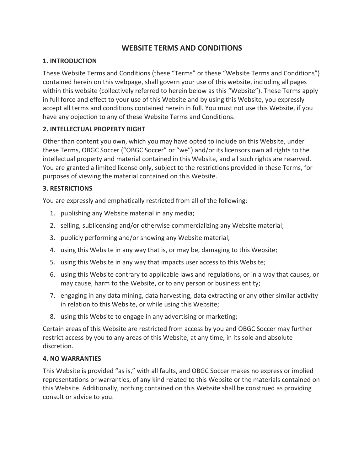# **WEBSITE TERMS AND CONDITIONS**

### **1. INTRODUCTION**

These Website Terms and Conditions (these "Terms" or these "Website Terms and Conditions") contained herein on this webpage, shall govern your use of this website, including all pages within this website (collectively referred to herein below as this "Website"). These Terms apply in full force and effect to your use of this Website and by using this Website, you expressly accept all terms and conditions contained herein in full. You must not use this Website, if you have any objection to any of these Website Terms and Conditions.

### **2. INTELLECTUAL PROPERTY RIGHT**

Other than content you own, which you may have opted to include on this Website, under these Terms, OBGC Soccer ("OBGC Soccer" or "we") and/or its licensors own all rights to the intellectual property and material contained in this Website, and all such rights are reserved. You are granted a limited license only, subject to the restrictions provided in these Terms, for purposes of viewing the material contained on this Website.

#### **3. RESTRICTIONS**

You are expressly and emphatically restricted from all of the following:

- 1. publishing any Website material in any media;
- 2. selling, sublicensing and/or otherwise commercializing any Website material;
- 3. publicly performing and/or showing any Website material;
- 4. using this Website in any way that is, or may be, damaging to this Website;
- 5. using this Website in any way that impacts user access to this Website;
- 6. using this Website contrary to applicable laws and regulations, or in a way that causes, or may cause, harm to the Website, or to any person or business entity;
- 7. engaging in any data mining, data harvesting, data extracting or any other similar activity in relation to this Website, or while using this Website;
- 8. using this Website to engage in any advertising or marketing;

Certain areas of this Website are restricted from access by you and OBGC Soccer may further restrict access by you to any areas of this Website, at any time, in its sole and absolute discretion.

#### **4. NO WARRANTIES**

This Website is provided "as is," with all faults, and OBGC Soccer makes no express or implied representations or warranties, of any kind related to this Website or the materials contained on this Website. Additionally, nothing contained on this Website shall be construed as providing consult or advice to you.